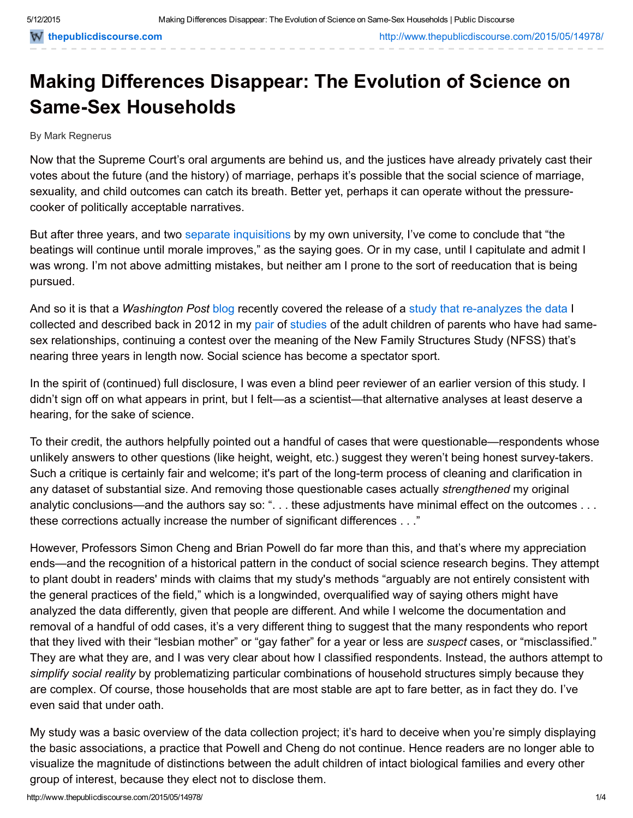# Making Differences Disappear: The Evolution of Science on **Same-Sex Households**

#### By Mark Regnerus

Now that the Supreme Court's oral arguments are behind us, and the justices have already privately cast their votes about the future (and the history) of marriage, perhaps it's possible that the social science of marriage, sexuality, and child outcomes can catch its breath. Better yet, perhaps it can operate without the pressurecooker of politically acceptable narratives.

But after three years, and two [separate](http://news.utexas.edu/2012/08/29/regnerus_scientific_misconduct_inquiry_completed) [inquisitions](http://www.dailytexanonline.com/2015/03/31/liberal-arts-dean-diehl-shouldnt-give-regnerus-a-pass) by my own university, I've come to conclude that "the beatings will continue until morale improves," as the saying goes. Or in my case, until I capitulate and admit I was wrong. I'm not above admitting mistakes, but neither am I prone to the sort of reeducation that is being pursued.

And so it is that a *Washington Post* [blog](http://www.washingtonpost.com/news/volokh-conspiracy/wp/2015/05/10/new-criticism-of-regnerus-study-on-parenting-study/) recently covered the release of a study that re-analyzes the data I collected and described back in 2012 in my [pair](http://www.markregnerus.com/uploads/4/0/6/5/4065759/regnerus_july_2012_ssr.pdf) of [studies](http://www.markregnerus.com/uploads/4/0/6/5/4065759/regnerus_response_to_critics_in_nov_2012_ssr.pdf) of the adult children of parents who have had samesex relationships, continuing a contest over the meaning of the New Family Structures Study (NFSS) that's nearing three years in length now. Social science has become a spectator sport.

In the spirit of (continued) full disclosure, I was even a blind peer reviewer of an earlier version of this study. I didn't sign off on what appears in print, but I felt—as a scientist—that alternative analyses at least deserve a hearing, for the sake of science.

To their credit, the authors helpfully pointed out a handful of cases that were questionable—respondents whose unlikely answers to other questions (like height, weight, etc.) suggest they weren't being honest surveytakers. Such a critique is certainly fair and welcome; it's part of the long-term process of cleaning and clarification in any dataset of substantial size. And removing those questionable cases actually *strengthened* my original analytic conclusions—and the authors say so: ". . . these adjustments have minimal effect on the outcomes . . . these corrections actually increase the number of significant differences . . ."

However, Professors Simon Cheng and Brian Powell do far more than this, and that's where my appreciation ends—and the recognition of a historical pattern in the conduct of social science research begins. They attempt to plant doubt in readers' minds with claims that my study's methods "arguably are not entirely consistent with the general practices of the field," which is a longwinded, overqualified way of saying others might have analyzed the data differently, given that people are different. And while I welcome the documentation and removal of a handful of odd cases, it's a very different thing to suggest that the many respondents who report that they lived with their "lesbian mother" or "gay father" for a year or less are *suspect* cases, or "misclassified." They are what they are, and I was very clear about how I classified respondents. Instead, the authors attempt to *simplify social reality* by problematizing particular combinations of household structures simply because they are complex. Of course, those households that are most stable are apt to fare better, as in fact they do. I've even said that under oath.

My study was a basic overview of the data collection project; it's hard to deceive when you're simply displaying the basic associations, a practice that Powell and Cheng do not continue. Hence readers are no longer able to visualize the magnitude of distinctions between the adult children of intact biological families and every other group of interest, because they elect not to disclose them.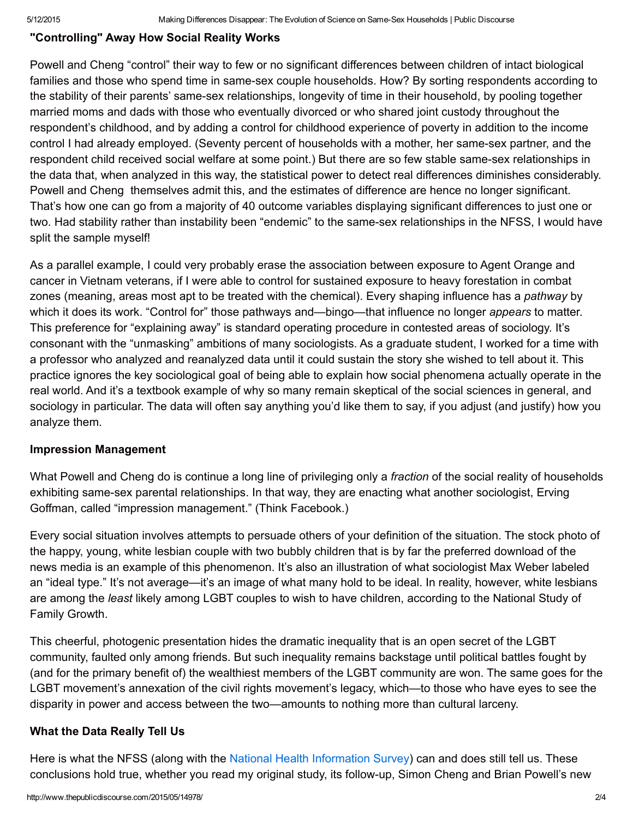### "Controlling" Away How Social Reality Works

Powell and Cheng "control" their way to few or no significant differences between children of intact biological families and those who spend time in same-sex couple households. How? By sorting respondents according to the stability of their parents' same-sex relationships, longevity of time in their household, by pooling together married moms and dads with those who eventually divorced or who shared joint custody throughout the respondent's childhood, and by adding a control for childhood experience of poverty in addition to the income control I had already employed. (Seventy percent of households with a mother, her same-sex partner, and the respondent child received social welfare at some point.) But there are so few stable same-sex relationships in the data that, when analyzed in this way, the statistical power to detect real differences diminishes considerably. Powell and Cheng themselves admit this, and the estimates of difference are hence no longer significant. That's how one can go from a majority of 40 outcome variables displaying significant differences to just one or two. Had stability rather than instability been "endemic" to the same-sex relationships in the NFSS, I would have split the sample myself!

As a parallel example, I could very probably erase the association between exposure to Agent Orange and cancer in Vietnam veterans, if I were able to control for sustained exposure to heavy forestation in combat zones (meaning, areas most apt to be treated with the chemical). Every shaping influence has a *pathway* by which it does its work. "Control for" those pathways and—bingo—that influence no longer *appears* to matter. This preference for "explaining away" is standard operating procedure in contested areas of sociology. It's consonant with the "unmasking" ambitions of many sociologists. As a graduate student, I worked for a time with a professor who analyzed and reanalyzed data until it could sustain the story she wished to tell about it. This practice ignores the key sociological goal of being able to explain how social phenomena actually operate in the real world. And it's a textbook example of why so many remain skeptical of the social sciences in general, and sociology in particular. The data will often say anything you'd like them to say, if you adjust (and justify) how you analyze them.

#### Impression Management

What Powell and Cheng do is continue a long line of privileging only a *fraction* of the social reality of households exhibiting same-sex parental relationships. In that way, they are enacting what another sociologist, Erving Goffman, called "impression management." (Think Facebook.)

Every social situation involves attempts to persuade others of your definition of the situation. The stock photo of the happy, young, white lesbian couple with two bubbly children that is by far the preferred download of the news media is an example of this phenomenon. It's also an illustration of what sociologist Max Weber labeled an "ideal type." It's not average—it's an image of what many hold to be ideal. In reality, however, white lesbians are among the *least* likely among LGBT couples to wish to have children, according to the National Study of Family Growth.

This cheerful, photogenic presentation hides the dramatic inequality that is an open secret of the LGBT community, faulted only among friends. But such inequality remains backstage until political battles fought by (and for the primary benefit of) the wealthiest members of the LGBT community are won. The same goes for the LGBT movement's annexation of the civil rights movement's legacy, which—to those who have eyes to see the disparity in power and access between the two—amounts to nothing more than cultural larceny.

## What the Data Really Tell Us

Here is what the NFSS (along with the National Health [Information](http://papers.ssrn.com/sol3/papers.cfm?abstract_id=2500537) Survey) can and does still tell us. These conclusions hold true, whether you read my original study, its follow-up, Simon Cheng and Brian Powell's new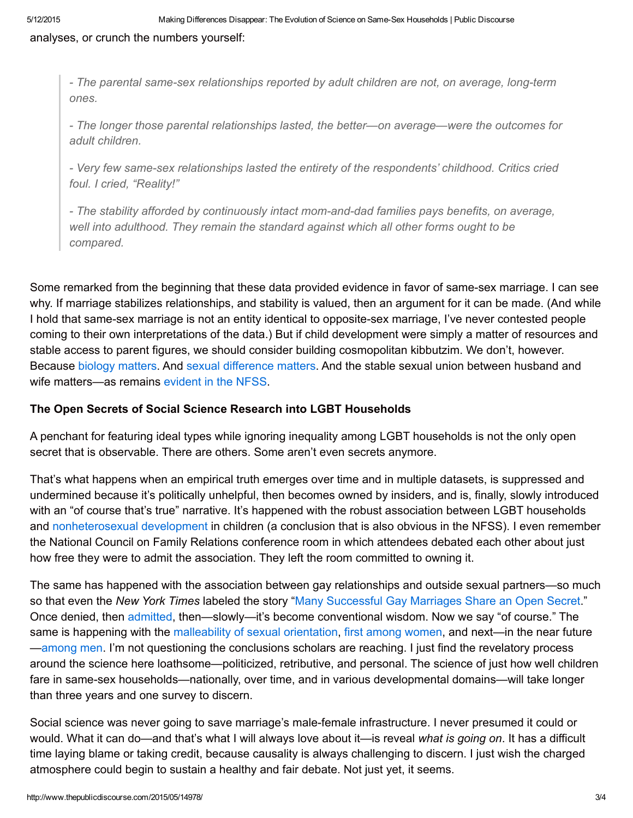analyses, or crunch the numbers yourself:

 *The parental samesex relationships reported by adult children are not, on average, longterm ones.*

 *The longer those parental relationships lasted, the better—on average—were the outcomes for adult children.*

 *Very few samesex relationships lasted the entirety of the respondents' childhood. Critics cried foul. I cried, "Reality!"*

 *The stability afforded by continuously intact momanddad families pays benefits, on average, well into adulthood. They remain the standard against which all other forms ought to be compared.*

Some remarked from the beginning that these data provided evidence in favor of same-sex marriage. I can see why. If marriage stabilizes relationships, and stability is valued, then an argument for it can be made. (And while I hold that same-sex marriage is not an entity identical to opposite-sex marriage, I've never contested people coming to their own interpretations of the data.) But if child development were simply a matter of resources and stable access to parent figures, we should consider building cosmopolitan kibbutzim. We don't, however. Because biology [matters.](http://www.thepublicdiscourse.com/2015/02/14417/) And sexual [difference](http://www.amazon.com/There-Anything-Good-About-Men/dp/019537410X) matters. And the stable sexual union between husband and wife matters—as remains [evident](http://www.markregnerus.com/uploads/4/0/6/5/4065759/regnerus_response_to_critics_in_nov_2012_ssr.pdf) in the NFSS.

# The Open Secrets of Social Science Research into LGBT Households

A penchant for featuring ideal types while ignoring inequality among LGBT households is not the only open secret that is observable. There are others. Some aren't even secrets anymore.

That's what happens when an empirical truth emerges over time and in multiple datasets, is suppressed and undermined because it's politically unhelpful, then becomes owned by insiders, and is, finally, slowly introduced with an "of course that's true" narrative. It's happened with the robust association between LGBT households and [nonheterosexual](http://journals.cambridge.org/action/displayAbstract?fromPage=online&aid=7907017&fileId=S0021932010000325) development in children (a conclusion that is also obvious in the NFSS). I even remember the National Council on Family Relations conference room in which attendees debated each other about just how free they were to admit the association. They left the room committed to owning it.

The same has happened with the association between gay relationships and outside sexual partners—so much so that even the *New York Times* labeled the story "Many [Successful](http://www.nytimes.com/2010/01/29/us/29sfmetro.html?_r=0) Gay Marriages Share an Open Secret." Once denied, then [admitted,](http://www.nytimes.com/2011/07/03/magazine/infidelity-will-keep-us-together.html?_r=0) then—slowly—it's become conventional wisdom. Now we say "of course." The same is happening with the [malleability](http://socialinqueery.com/2013/03/18/no-one-is-born-gay-or-straight-here-are-5-reasons-why/) of sexual orientation, first among [women,](http://www.hup.harvard.edu/catalog.php?isbn=9780674032262) and next—in the near future [—among](https://www.youtube.com/watch?feature=player_embedded&v=m2rTHDOuUBw) men. I'm not questioning the conclusions scholars are reaching. I just find the revelatory process around the science here loathsome—politicized, retributive, and personal. The science of just how well children fare in same-sex households—nationally, over time, and in various developmental domains—will take longer than three years and one survey to discern.

Social science was never going to save marriage's male-female infrastructure. I never presumed it could or would. What it can do—and that's what I will always love about it—is reveal *what is going on*. It has a difficult time laying blame or taking credit, because causality is always challenging to discern. I just wish the charged atmosphere could begin to sustain a healthy and fair debate. Not just yet, it seems.